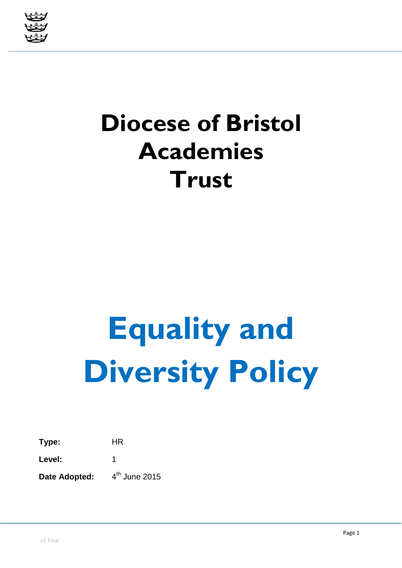

# **Diocese of Bristol Academies Trust**

# **Equality and Diversity Policy**

**Type:** HR Level: 1

Date Adopted:

 $4<sup>th</sup>$  June 2015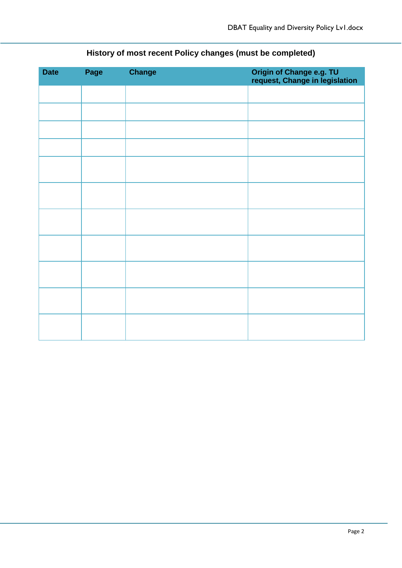| <b>Date</b> | Page | <b>Change</b> | Origin of Change e.g. TU<br>request, Change in legislation |
|-------------|------|---------------|------------------------------------------------------------|
|             |      |               |                                                            |
|             |      |               |                                                            |
|             |      |               |                                                            |
|             |      |               |                                                            |
|             |      |               |                                                            |
|             |      |               |                                                            |
|             |      |               |                                                            |
|             |      |               |                                                            |
|             |      |               |                                                            |
|             |      |               |                                                            |
|             |      |               |                                                            |

## **History of most recent Policy changes (must be completed)**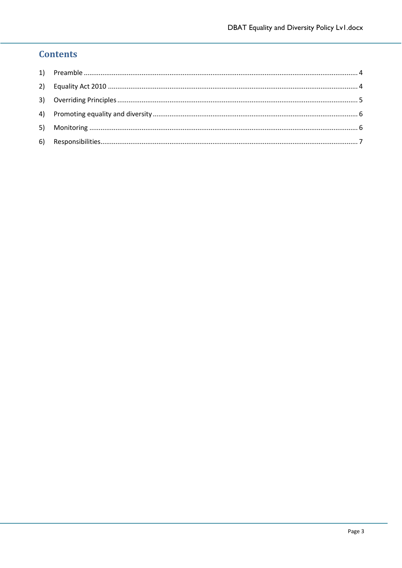### **Contents**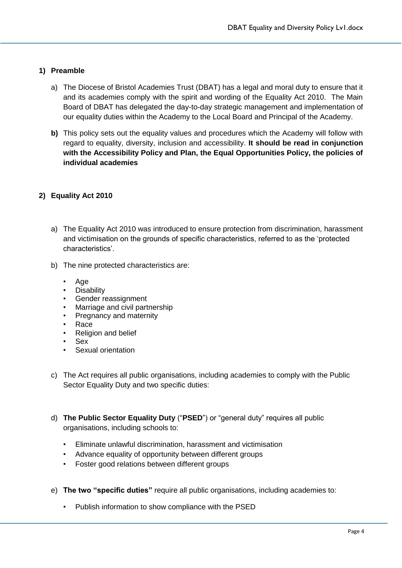#### <span id="page-3-0"></span>**1) Preamble**

- a) The Diocese of Bristol Academies Trust (DBAT) has a legal and moral duty to ensure that it and its academies comply with the spirit and wording of the Equality Act 2010. The Main Board of DBAT has delegated the day-to-day strategic management and implementation of our equality duties within the Academy to the Local Board and Principal of the Academy.
- **b)** This policy sets out the equality values and procedures which the Academy will follow with regard to equality, diversity, inclusion and accessibility. **It should be read in conjunction with the Accessibility Policy and Plan, the Equal Opportunities Policy, the policies of individual academies**

#### <span id="page-3-1"></span>**2) Equality Act 2010**

- a) The Equality Act 2010 was introduced to ensure protection from discrimination, harassment and victimisation on the grounds of specific characteristics, referred to as the 'protected characteristics'.
- b) The nine protected characteristics are:
	- Age
	- **Disability**
	- Gender reassignment
	- Marriage and civil partnership
	- Pregnancy and maternity
	- Race
	- **Religion and belief**
	- Sex
	- Sexual orientation
- c) The Act requires all public organisations, including academies to comply with the Public Sector Equality Duty and two specific duties:
- d) **The Public Sector Equality Duty** ("**PSED**") or "general duty" requires all public organisations, including schools to:
	- Eliminate unlawful discrimination, harassment and victimisation
	- Advance equality of opportunity between different groups
	- Foster good relations between different groups
- e) **The two "specific duties"** require all public organisations, including academies to:
	- Publish information to show compliance with the PSED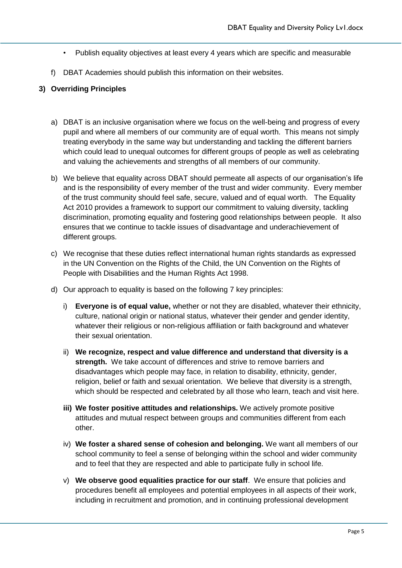- Publish equality objectives at least every 4 years which are specific and measurable
- f) DBAT Academies should publish this information on their websites.

#### <span id="page-4-0"></span>**3) Overriding Principles**

- a) DBAT is an inclusive organisation where we focus on the well-being and progress of every pupil and where all members of our community are of equal worth. This means not simply treating everybody in the same way but understanding and tackling the different barriers which could lead to unequal outcomes for different groups of people as well as celebrating and valuing the achievements and strengths of all members of our community.
- b) We believe that equality across DBAT should permeate all aspects of our organisation's life and is the responsibility of every member of the trust and wider community. Every member of the trust community should feel safe, secure, valued and of equal worth. The Equality Act 2010 provides a framework to support our commitment to valuing diversity, tackling discrimination, promoting equality and fostering good relationships between people. It also ensures that we continue to tackle issues of disadvantage and underachievement of different groups.
- c) We recognise that these duties reflect international human rights standards as expressed in the UN Convention on the Rights of the Child, the UN Convention on the Rights of People with Disabilities and the Human Rights Act 1998.
- d) Our approach to equality is based on the following 7 key principles:
	- i) **Everyone is of equal value,** whether or not they are disabled, whatever their ethnicity, culture, national origin or national status, whatever their gender and gender identity, whatever their religious or non-religious affiliation or faith background and whatever their sexual orientation.
	- ii) **We recognize, respect and value difference and understand that diversity is a strength.** We take account of differences and strive to remove barriers and disadvantages which people may face, in relation to disability, ethnicity, gender, religion, belief or faith and sexual orientation. We believe that diversity is a strength, which should be respected and celebrated by all those who learn, teach and visit here.
	- **iii) We foster positive attitudes and relationships.** We actively promote positive attitudes and mutual respect between groups and communities different from each other.
	- iv) **We foster a shared sense of cohesion and belonging.** We want all members of our school community to feel a sense of belonging within the school and wider community and to feel that they are respected and able to participate fully in school life.
	- v) **We observe good equalities practice for our staff**. We ensure that policies and procedures benefit all employees and potential employees in all aspects of their work, including in recruitment and promotion, and in continuing professional development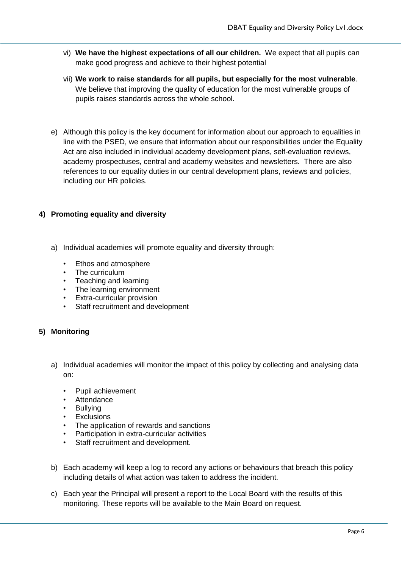- vi) **We have the highest expectations of all our children.** We expect that all pupils can make good progress and achieve to their highest potential
- vii) **We work to raise standards for all pupils, but especially for the most vulnerable**. We believe that improving the quality of education for the most vulnerable groups of pupils raises standards across the whole school.
- e) Although this policy is the key document for information about our approach to equalities in line with the PSED, we ensure that information about our responsibilities under the Equality Act are also included in individual academy development plans, self-evaluation reviews, academy prospectuses, central and academy websites and newsletters. There are also references to our equality duties in our central development plans, reviews and policies, including our HR policies.

#### <span id="page-5-0"></span>**4) Promoting equality and diversity**

- a) Individual academies will promote equality and diversity through:
	- Ethos and atmosphere
	- The curriculum
	- Teaching and learning
	- The learning environment
	- **Extra-curricular provision**
	- Staff recruitment and development

#### <span id="page-5-1"></span>**5) Monitoring**

- a) Individual academies will monitor the impact of this policy by collecting and analysing data on:
	- Pupil achievement
	- **Attendance**
	- **Bullying**
	- **Exclusions**
	- The application of rewards and sanctions
	- Participation in extra-curricular activities
	- Staff recruitment and development.
- b) Each academy will keep a log to record any actions or behaviours that breach this policy including details of what action was taken to address the incident.
- c) Each year the Principal will present a report to the Local Board with the results of this monitoring. These reports will be available to the Main Board on request.